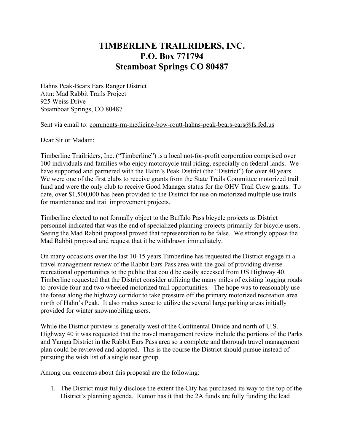## **TIMBERLINE TRAILRIDERS, INC. P.O. Box 771794 Steamboat Springs CO 80487**

Hahns Peak-Bears Ears Ranger District Attn: Mad Rabbit Trails Project 925 Weiss Drive Steamboat Springs, CO 80487

Sent via email to: comments-rm-medicine-bow-routt-hahns-peak-bears-ears $@$ fs.fed.us

Dear Sir or Madam:

Timberline Trailriders, Inc. ("Timberline") is a local not-for-profit corporation comprised over 100 individuals and families who enjoy motorcycle trail riding, especially on federal lands. We have supported and partnered with the Hahn's Peak District (the "District") for over 40 years. We were one of the first clubs to receive grants from the State Trails Committee motorized trail fund and were the only club to receive Good Manager status for the OHV Trail Crew grants. To date, over \$1,500,000 has been provided to the District for use on motorized multiple use trails for maintenance and trail improvement projects.

Timberline elected to not formally object to the Buffalo Pass bicycle projects as District personnel indicated that was the end of specialized planning projects primarily for bicycle users. Seeing the Mad Rabbit proposal proved that representation to be false. We strongly oppose the Mad Rabbit proposal and request that it be withdrawn immediately.

On many occasions over the last 10-15 years Timberline has requested the District engage in a travel management review of the Rabbit Ears Pass area with the goal of providing diverse recreational opportunities to the public that could be easily accessed from US Highway 40. Timberline requested that the District consider utilizing the many miles of existing logging roads to provide four and two wheeled motorized trail opportunities. The hope was to reasonably use the forest along the highway corridor to take pressure off the primary motorized recreation area north of Hahn's Peak. It also makes sense to utilize the several large parking areas initially provided for winter snowmobiling users.

While the District purview is generally west of the Continental Divide and north of U.S. Highway 40 it was requested that the travel management review include the portions of the Parks and Yampa District in the Rabbit Ears Pass area so a complete and thorough travel management plan could be reviewed and adopted. This is the course the District should pursue instead of pursuing the wish list of a single user group.

Among our concerns about this proposal are the following:

1. The District must fully disclose the extent the City has purchased its way to the top of the District's planning agenda. Rumor has it that the 2A funds are fully funding the lead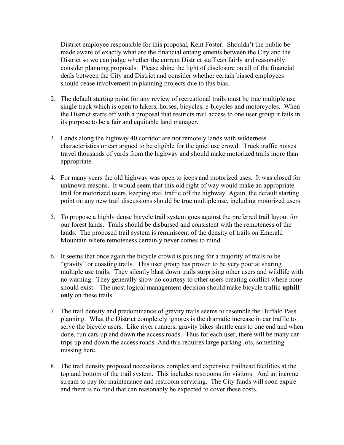District employee responsible for this proposal, Kent Foster. Shouldn't the public be made aware of exactly what are the financial entanglements between the City and the District so we can judge whether the current District staff can fairly and reasonably consider planning proposals. Please shine the light of disclosure on all of the financial deals between the City and District and consider whether certain biased employees should cease involvement in planning projects due to this bias.

- 2. The default starting point for any review of recreational trails must be true multiple use single track which is open to hikers, horses, bicycles, e-bicycles and motorcycles. When the District starts off with a proposal that restricts trail access to one user group it fails in its purpose to be a fair and equitable land manager.
- 3. Lands along the highway 40 corridor are not remotely lands with wilderness characteristics or can argued to be eligible for the quiet use crowd. Truck traffic noises travel thousands of yards from the highway and should make motorized trails more than appropriate.
- 4. For many years the old highway was open to jeeps and motorized uses. It was closed for unknown reasons. It would seem that this old right of way would make an appropriate trail for motorized users, keeping trail traffic off the highway. Again, the default starting point on any new trail discussions should be true multiple use, including motorized users.
- 5. To propose a highly dense bicycle trail system goes against the preferred trail layout for our forest lands. Trails should be disbursed and consistent with the remoteness of the lands. The proposed trail system is reminiscent of the density of trails on Emerald Mountain where remoteness certainly never comes to mind.
- 6. It seems that once again the bicycle crowd is pushing for a majority of trails to be "gravity" or coasting trails. This user group has proven to be very poor at sharing multiple use trails. They silently blast down trails surprising other users and wildlife with no warning. They generally show no courtesy to other users creating conflict where none should exist. The most logical management decision should make bicycle traffic **uphill only** on these trails.
- 7. The trail density and predominance of gravity trails seems to resemble the Buffalo Pass planning. What the District completely ignores is the dramatic increase in car traffic to serve the bicycle users. Like river runners, gravity bikes shuttle cars to one end and when done, run cars up and down the access roads. Thus for each user, there will be many car trips up and down the access roads. And this requires large parking lots, something missing here.
- 8. The trail density proposed necessitates complex and expensive trailhead facilities at the top and bottom of the trail system. This includes restrooms for visitors. And an income stream to pay for maintenance and restroom servicing. The City funds will soon expire and there is no fund that can reasonably be expected to cover these costs.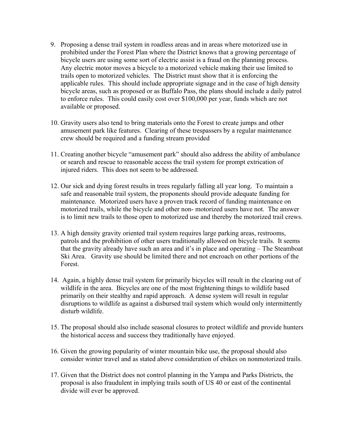- 9. Proposing a dense trail system in roadless areas and in areas where motorized use in prohibited under the Forest Plan where the District knows that a growing percentage of bicycle users are using some sort of electric assist is a fraud on the planning process. Any electric motor moves a bicycle to a motorized vehicle making their use limited to trails open to motorized vehicles. The District must show that it is enforcing the applicable rules. This should include appropriate signage and in the case of high density bicycle areas, such as proposed or as Buffalo Pass, the plans should include a daily patrol to enforce rules. This could easily cost over \$100,000 per year, funds which are not available or proposed.
- 10. Gravity users also tend to bring materials onto the Forest to create jumps and other amusement park like features. Clearing of these trespassers by a regular maintenance crew should be required and a funding stream provided
- 11. Creating another bicycle "amusement park" should also address the ability of ambulance or search and rescue to reasonable access the trail system for prompt extrication of injured riders. This does not seem to be addressed.
- 12. Our sick and dying forest results in trees regularly falling all year long. To maintain a safe and reasonable trail system, the proponents should provide adequate funding for maintenance. Motorized users have a proven track record of funding maintenance on motorized trails, while the bicycle and other non- motorized users have not. The answer is to limit new trails to those open to motorized use and thereby the motorized trail crews.
- 13. A high density gravity oriented trail system requires large parking areas, restrooms, patrols and the prohibition of other users traditionally allowed on bicycle trails. It seems that the gravity already have such an area and it's in place and operating – The Steamboat Ski Area. Gravity use should be limited there and not encroach on other portions of the Forest.
- 14. Again, a highly dense trail system for primarily bicycles will result in the clearing out of wildlife in the area. Bicycles are one of the most frightening things to wildlife based primarily on their stealthy and rapid approach. A dense system will result in regular disruptions to wildlife as against a disbursed trail system which would only intermittently disturb wildlife.
- 15. The proposal should also include seasonal closures to protect wildlife and provide hunters the historical access and success they traditionally have enjoyed.
- 16. Given the growing popularity of winter mountain bike use, the proposal should also consider winter travel and as stated above consideration of ebikes on nonmotorized trails.
- 17. Given that the District does not control planning in the Yampa and Parks Districts, the proposal is also fraudulent in implying trails south of US 40 or east of the continental divide will ever be approved.